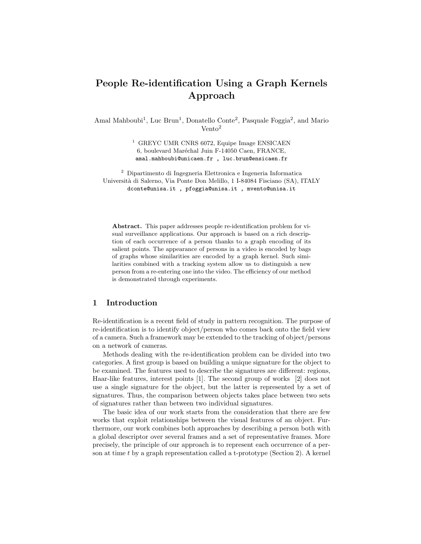# People Re-identification Using a Graph Kernels Approach

Amal Mahboubi<sup>1</sup>, Luc Brun<sup>1</sup>, Donatello Conte<sup>2</sup>, Pasquale Foggia<sup>2</sup>, and Mario Vento<sup>2</sup>

> $^{\rm 1}$  GREYC UMR CNRS 6072, Equipe Image ENSICAEN 6, boulevard Maréchal Juin F-14050 Caen, FRANCE, amal.mahboubi@unicaen.fr , luc.brun@ensicaen.fr

<sup>2</sup> Dipartimento di Ingegneria Elettronica e Ingeneria Informatica Universit`a di Salerno, Via Ponte Don Melillo, 1 I-84084 Fisciano (SA), ITALY dconte@unisa.it , pfoggia@unisa.it , mvento@unisa.it

Abstract. This paper addresses people re-identification problem for visual surveillance applications. Our approach is based on a rich description of each occurrence of a person thanks to a graph encoding of its salient points. The appearance of persons in a video is encoded by bags of graphs whose similarities are encoded by a graph kernel. Such similarities combined with a tracking system allow us to distinguish a new person from a re-entering one into the video. The efficiency of our method is demonstrated through experiments.

## 1 Introduction

Re-identification is a recent field of study in pattern recognition. The purpose of re-identification is to identify object/person who comes back onto the field view of a camera. Such a framework may be extended to the tracking of object/persons on a network of cameras.

Methods dealing with the re-identification problem can be divided into two categories. A first group is based on building a unique signature for the object to be examined. The features used to describe the signatures are different: regions, Haar-like features, interest points [1]. The second group of works [2] does not use a single signature for the object, but the latter is represented by a set of signatures. Thus, the comparison between objects takes place between two sets of signatures rather than between two individual signatures.

The basic idea of our work starts from the consideration that there are few works that exploit relationships between the visual features of an object. Furthermore, our work combines both approaches by describing a person both with a global descriptor over several frames and a set of representative frames. More precisely, the principle of our approach is to represent each occurrence of a person at time  $t$  by a graph representation called a t-prototype (Section 2). A kernel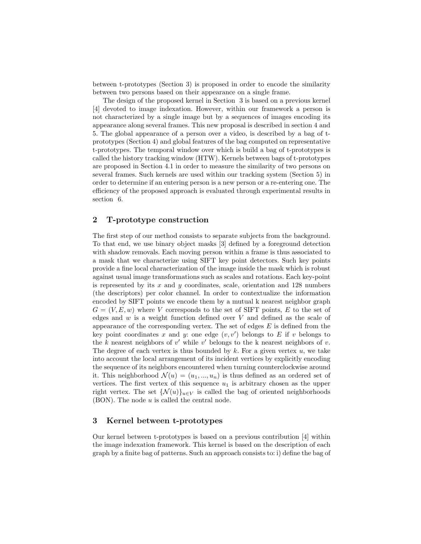between t-prototypes (Section 3) is proposed in order to encode the similarity between two persons based on their appearance on a single frame.

The design of the proposed kernel in Section 3 is based on a previous kernel [4] devoted to image indexation. However, within our framework a person is not characterized by a single image but by a sequences of images encoding its appearance along several frames. This new proposal is described in section 4 and 5. The global appearance of a person over a video, is described by a bag of tprototypes (Section 4) and global features of the bag computed on representative t-prototypes. The temporal window over which is build a bag of t-prototypes is called the history tracking window (HTW). Kernels between bags of t-prototypes are proposed in Section 4.1 in order to measure the similarity of two persons on several frames. Such kernels are used within our tracking system (Section 5) in order to determine if an entering person is a new person or a re-entering one. The efficiency of the proposed approach is evaluated through experimental results in section 6.

## 2 T-prototype construction

The first step of our method consists to separate subjects from the background. To that end, we use binary object masks [3] defined by a foreground detection with shadow removals. Each moving person within a frame is thus associated to a mask that we characterize using SIFT key point detectors. Such key points provide a fine local characterization of the image inside the mask which is robust against usual image transformations such as scales and rotations. Each key-point is represented by its  $x$  and  $y$  coordinates, scale, orientation and 128 numbers (the descriptors) per color channel. In order to contextualize the information encoded by SIFT points we encode them by a mutual k nearest neighbor graph  $G = (V, E, w)$  where V corresponds to the set of SIFT points, E to the set of edges and  $w$  is a weight function defined over  $V$  and defined as the scale of appearance of the corresponding vertex. The set of edges  $E$  is defined from the key point coordinates x and y: one edge  $(v, v')$  belongs to E if v belongs to the  $k$  nearest neighbors of  $v'$  while  $v'$  belongs to the k nearest neighbors of  $v$ . The degree of each vertex is thus bounded by  $k$ . For a given vertex  $u$ , we take into account the local arrangement of its incident vertices by explicitly encoding the sequence of its neighbors encountered when turning counterclockwise around it. This neighborhood  $\mathcal{N}(u) = (u_1, ..., u_n)$  is thus defined as an ordered set of vertices. The first vertex of this sequence  $u_1$  is arbitrary chosen as the upper right vertex. The set  $\{\mathcal{N}(u)\}_{u\in V}$  is called the bag of oriented neighborhoods  $(BON)$ . The node  $u$  is called the central node.

## 3 Kernel between t-prototypes

Our kernel between t-prototypes is based on a previous contribution [4] within the image indexation framework. This kernel is based on the description of each graph by a finite bag of patterns. Such an approach consists to: i) define the bag of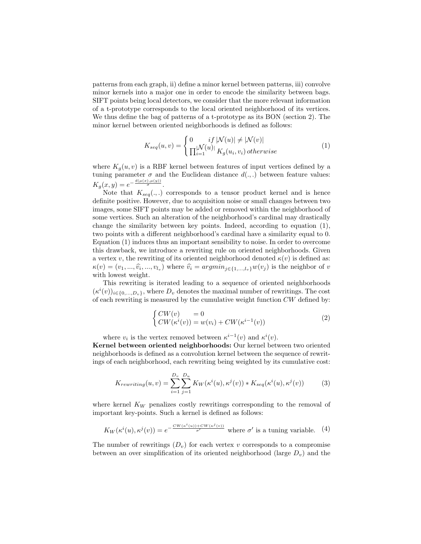patterns from each graph, ii) define a minor kernel between patterns, iii) convolve minor kernels into a major one in order to encode the similarity between bags. SIFT points being local detectors, we consider that the more relevant information of a t-prototype corresponds to the local oriented neighborhood of its vertices. We thus define the bag of patterns of a t-prototype as its BON (section 2). The minor kernel between oriented neighborhoods is defined as follows:

$$
K_{seq}(u,v) = \begin{cases} 0 & if \left| \mathcal{N}(u) \right| \neq \left| \mathcal{N}(v) \right| \\ \prod_{i=1}^{|\mathcal{N}(u)|} K_g(u_i, v_i) \, otherwise \end{cases} \tag{1}
$$

where  $K_q(u, v)$  is a RBF kernel between features of input vertices defined by a tuning parameter  $\sigma$  and the Euclidean distance  $d(.,.)$  between feature values:  $K_g(x, y) = e^{-\frac{d(\mu(x), \mu(y))}{\sigma}}$ .

Note that  $K_{seq}(.,.)$  corresponds to a tensor product kernel and is hence definite positive. However, due to acquisition noise or small changes between two images, some SIFT points may be added or removed within the neighborhood of some vertices. Such an alteration of the neighborhood's cardinal may drastically change the similarity between key points. Indeed, according to equation (1), two points with a different neighborhood's cardinal have a similarity equal to 0. Equation (1) induces thus an important sensibility to noise. In order to overcome this drawback, we introduce a rewriting rule on oriented neighborhoods. Given a vertex v, the rewriting of its oriented neighborhood denoted  $\kappa(v)$  is defined as:  $\kappa(v) = (v_1, ..., \hat{v_i}, ..., v_{l_v})$  where  $\hat{v_i} = argmin_{j \in \{1, ..., l_v\}} w(v_j)$  is the neighbor of v with lowest weight.

This rewriting is iterated leading to a sequence of oriented neighborhoods  $(\kappa^i(v))_{i\in\{0,\ldots,D_v\}}$ , where  $D_v$  denotes the maximal number of rewritings. The cost of each rewriting is measured by the cumulative weight function  $CW$  defined by:

$$
\begin{cases}\nCW(v) &= 0\\ \nCW(\kappa^i(v)) = w(v_i) + CW(\kappa^{i-1}(v))\n\end{cases} \tag{2}
$$

where  $v_i$  is the vertex removed between  $\kappa^{i-1}(v)$  and  $\kappa^i(v)$ .

Kernel between oriented neighborhoods: Our kernel between two oriented neighborhoods is defined as a convolution kernel between the sequence of rewritings of each neighborhood, each rewriting being weighted by its cumulative cost:

$$
K_{rewriting}(u,v) = \sum_{i=1}^{D_v} \sum_{j=1}^{D_u} K_W(\kappa^i(u), \kappa^j(v)) * K_{seq}(\kappa^i(u), \kappa^j(v))
$$
(3)

where kernel  $K_W$  penalizes costly rewritings corresponding to the removal of important key-points. Such a kernel is defined as follows:

$$
K_W(\kappa^i(u), \kappa^j(v)) = e^{-\frac{CW(\kappa^i(u)) + CW(\kappa^j(v))}{\sigma'}} \text{ where } \sigma' \text{ is a tuning variable. } (4)
$$

The number of rewritings  $(D_v)$  for each vertex v corresponds to a compromise between an over simplification of its oriented neighborhood (large  $D_v$ ) and the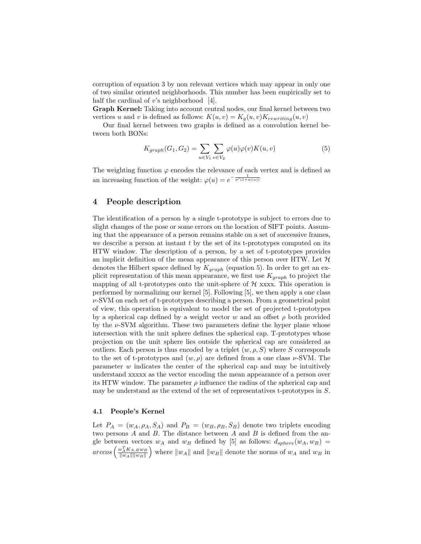corruption of equation 3 by non relevant vertices which may appear in only one of two similar oriented neighborhoods. This number has been empirically set to half the cardinal of v's neighborhood  $[4]$ .

Graph Kernel: Taking into account central nodes, our final kernel between two vertices u and v is defined as follows:  $K(u, v) = K_q(u, v)K_{rewriting}(u, v)$ 

Our final kernel between two graphs is defined as a convolution kernel between both BONs:

$$
K_{graph}(G_1, G_2) = \sum_{u \in V_1} \sum_{v \in V_2} \varphi(u)\varphi(v)K(u, v)
$$
\n
$$
\tag{5}
$$

The weighting function  $\varphi$  encodes the relevance of each vertex and is defined as an increasing function of the weight:  $\varphi(u) = e^{-\frac{1}{\sigma'(1+w(u))}}$ 

## 4 People description

The identification of a person by a single t-prototype is subject to errors due to slight changes of the pose or some errors on the location of SIFT points. Assuming that the appearance of a person remains stable on a set of successive frames, we describe a person at instant  $t$  by the set of its t-prototypes computed on its HTW window. The description of a person, by a set of t-prototypes provides an implicit definition of the mean appearance of this person over HTW. Let  $\mathcal H$ denotes the Hilbert space defined by  $K_{graph}$  (equation 5). In order to get an explicit representation of this mean appearance, we first use  $K_{graph}$  to project the mapping of all t-prototypes onto the unit-sphere of  $\mathcal{H}$  xxxx. This operation is performed by normalizing our kernel [5]. Following [5], we then apply a one class  $\nu$ -SVM on each set of t-prototypes describing a person. From a geometrical point of view, this operation is equivalent to model the set of projected t-prototypes by a spherical cap defined by a weight vector w and an offset  $\rho$  both provided by the  $\nu$ -SVM algorithm. These two parameters define the hyper plane whose intersection with the unit sphere defines the spherical cap. T-prototypes whose projection on the unit sphere lies outside the spherical cap are considered as outliers. Each person is thus encoded by a triplet  $(w, \rho, S)$  where S corresponds to the set of t-prototypes and  $(w, \rho)$  are defined from a one class  $\nu$ -SVM. The parameter  $w$  indicates the center of the spherical cap and may be intuitively understand xxxxx as the vector encoding the mean appearance of a person over its HTW window. The parameter  $\rho$  influence the radius of the spherical cap and may be understand as the extend of the set of representatives t-prototypes in S.

#### 4.1 People's Kernel

Let  $P_A = (w_A, \rho_A, S_A)$  and  $P_B = (w_B, \rho_B, S_B)$  denote two triplets encoding two persons  $A$  and  $B$ . The distance between  $A$  and  $B$  is defined from the angle between vectors  $w_A$  and  $w_B$  defined by [5] as follows:  $d_{sphere}(w_A, w_B)$  =  $\mathit{arccos}\left(\frac{w_A^TK_{A,B}w_B}{\|w_A\|\|w_B\|}\right)$ ) where  $||w_A||$  and  $||w_B||$  denote the norms of  $w_A$  and  $w_B$  in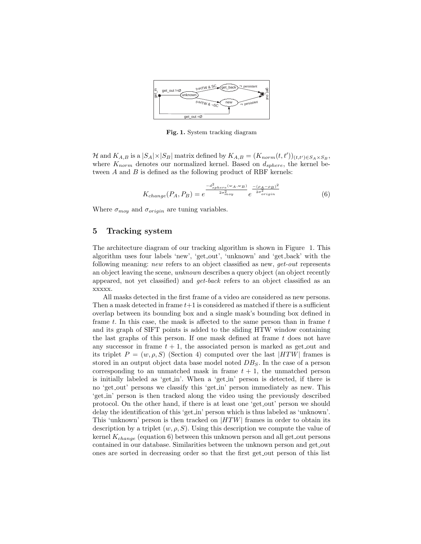

Fig. 1. System tracking diagram

H and  $K_{A,B}$  is a  $|S_A|\times|S_B|$  matrix defined by  $K_{A,B} = (K_{norm}(t,t'))_{(t,t')\in S_A\times S_B}$ , where  $K_{norm}$  denotes our normalized kernel. Based on  $d_{sphere}$ , the kernel between A and B is defined as the following product of RBF kernels:

$$
K_{change}(P_A, P_B) = e^{\frac{-d_{sphere}^2(w_A, w_B)}{2\sigma_{moy}^2}} e^{\frac{-(\rho_A - \rho_B)^2}{2\sigma_{origin}^2}} \tag{6}
$$

Where  $\sigma_{moy}$  and  $\sigma_{origin}$  are tuning variables.

## 5 Tracking system

The architecture diagram of our tracking algorithm is shown in Figure 1. This algorithm uses four labels 'new', 'get out', 'unknown' and 'get back' with the following meaning: new refers to an object classified as new, *get-out* represents an object leaving the scene, unknown describes a query object (an object recently appeared, not yet classified) and get-back refers to an object classified as an xxxxx.

All masks detected in the first frame of a video are considered as new persons. Then a mask detected in frame  $t+1$  is considered as matched if there is a sufficient overlap between its bounding box and a single mask's bounding box defined in frame  $t$ . In this case, the mask is affected to the same person than in frame  $t$ and its graph of SIFT points is added to the sliding HTW window containing the last graphs of this person. If one mask defined at frame  $t$  does not have any successor in frame  $t + 1$ , the associated person is marked as get out and its triplet  $P = (w, \rho, S)$  (Section 4) computed over the last |HTW| frames is stored in an output object data base model noted  $DB_S$ . In the case of a person corresponding to an unmatched mask in frame  $t + 1$ , the unmatched person is initially labeled as 'get in'. When a 'get in' person is detected, if there is no 'get out' persons we classify this 'get in' person immediately as new. This 'get in' person is then tracked along the video using the previously described protocol. On the other hand, if there is at least one 'get out' person we should delay the identification of this 'get in' person which is thus labeled as 'unknown'. This 'unknown' person is then tracked on  $|HTW|$  frames in order to obtain its description by a triplet  $(w, \rho, S)$ . Using this description we compute the value of kernel  $K_{change}$  (equation 6) between this unknown person and all get out persons contained in our database. Similarities between the unknown person and get out ones are sorted in decreasing order so that the first get out person of this list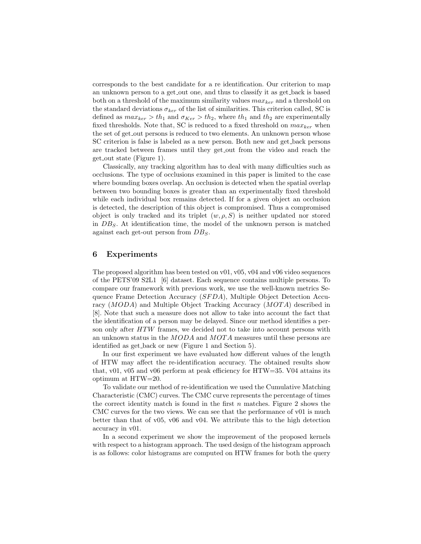corresponds to the best candidate for a re identification. Our criterion to map an unknown person to a get out one, and thus to classify it as get back is based both on a threshold of the maximum similarity values  $max_{ker}$  and a threshold on the standard deviations  $\sigma_{\text{ker}}$  of the list of similarities. This criterion called, SC is defined as  $max_{ker} > th_1$  and  $\sigma_{Ker} > th_2$ , where  $th_1$  and  $th_2$  are experimentally fixed thresholds. Note that, SC is reduced to a fixed threshold on  $max_{ker}$  when the set of get out persons is reduced to two elements. An unknown person whose SC criterion is false is labeled as a new person. Both new and get back persons are tracked between frames until they get out from the video and reach the get out state (Figure 1).

Classically, any tracking algorithm has to deal with many difficulties such as occlusions. The type of occlusions examined in this paper is limited to the case where bounding boxes overlap. An occlusion is detected when the spatial overlap between two bounding boxes is greater than an experimentally fixed threshold while each individual box remains detected. If for a given object an occlusion is detected, the description of this object is compromised. Thus a compromised object is only tracked and its triplet  $(w, \rho, S)$  is neither updated nor stored in  $DB_S$ . At identification time, the model of the unknown person is matched against each get-out person from  $DB<sub>S</sub>$ .

## 6 Experiments

The proposed algorithm has been tested on  $v01$ ,  $v05$ ,  $v04$  and  $v06$  video sequences of the PETS'09 S2L1 [6] dataset. Each sequence contains multiple persons. To compare our framework with previous work, we use the well-known metrics Sequence Frame Detection Accuracy (SFDA), Multiple Object Detection Accuracy (MODA) and Multiple Object Tracking Accuracy (MOTA) described in [8]. Note that such a measure does not allow to take into account the fact that the identification of a person may be delayed. Since our method identifies a person only after HTW frames, we decided not to take into account persons with an unknown status in the MODA and MOTA measures until these persons are identified as get back or new (Figure 1 and Section 5).

In our first experiment we have evaluated how different values of the length of HTW may affect the re-identification accuracy. The obtained results show that, v01, v05 and v06 perform at peak efficiency for HTW=35. V04 attains its optimum at HTW=20.

To validate our method of re-identification we used the Cumulative Matching Characteristic (CMC) curves. The CMC curve represents the percentage of times the correct identity match is found in the first  $n$  matches. Figure 2 shows the CMC curves for the two views. We can see that the performance of v01 is much better than that of v05, v06 and v04. We attribute this to the high detection accuracy in v01.

In a second experiment we show the improvement of the proposed kernels with respect to a histogram approach. The used design of the histogram approach is as follows: color histograms are computed on HTW frames for both the query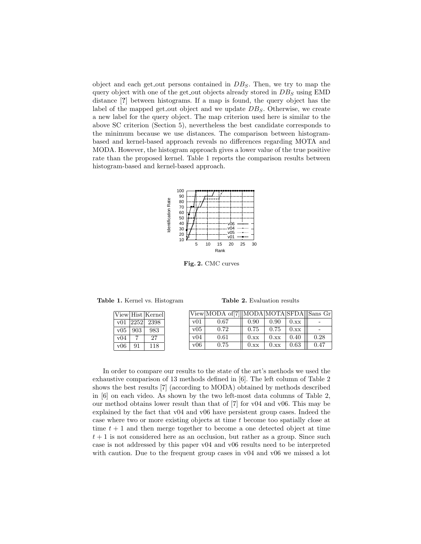object and each get out persons contained in  $DB_S$ . Then, we try to map the query object with one of the get out objects already stored in  $DB_S$  using EMD distance [?] between histograms. If a map is found, the query object has the label of the mapped get out object and we update  $DB_S$ . Otherwise, we create a new label for the query object. The map criterion used here is similar to the above SC criterion (Section 5), nevertheless the best candidate corresponds to the minimum because we use distances. The comparison between histogrambased and kernel-based approach reveals no differences regarding MOTA and MODA. However, the histogram approach gives a lower value of the true positive rate than the proposed kernel. Table 1 reports the comparison results between histogram-based and kernel-based approach.



Fig. 2. CMC curves

Table 1. Kernel vs. Histogram

|      |      | View Hist Kernel |
|------|------|------------------|
| v(0) | 2252 | -2398            |
| v05  | 903  | 983              |
| v04  |      | 27               |
| v06  | 91   | 118              |

|     | View MODA of [7] MODA MOTA SFDA Sans Gr |      |      |      |      |
|-----|-----------------------------------------|------|------|------|------|
| v01 | 0.67                                    | 0.90 | 0.90 | 0.xx |      |
| v05 | 0.72                                    | 0.75 | 0.75 | 0.xx |      |
| v04 | 0.61                                    | 0.xx | 0.xx | 0.40 | 0.28 |
| v06 | 0.75                                    | 0.xx | 0.xx | 0.63 | 0.47 |

In order to compare our results to the state of the art's methods we used the exhaustive comparison of 13 methods defined in [6]. The left column of Table 2 shows the best results [7] (according to MODA) obtained by methods described in [6] on each video. As shown by the two left-most data columns of Table 2, our method obtains lower result than that of [7] for v04 and v06. This may be explained by the fact that v04 and v06 have persistent group cases. Indeed the case where two or more existing objects at time t become too spatially close at time  $t + 1$  and then merge together to become a one detected object at time  $t+1$  is not considered here as an occlusion, but rather as a group. Since such case is not addressed by this paper v04 and v06 results need to be interpreted with caution. Due to the frequent group cases in  $v04$  and  $v06$  we missed a lot